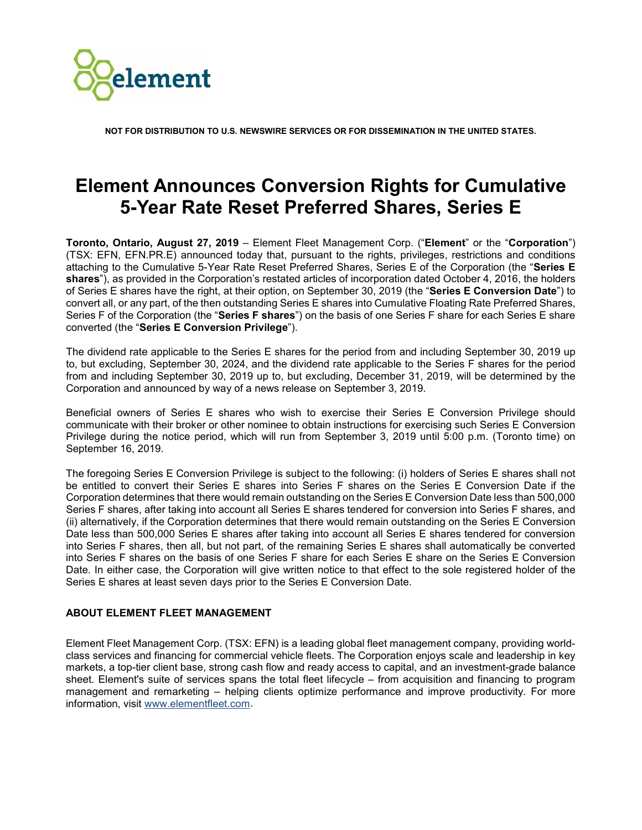

**NOT FOR DISTRIBUTION TO U.S. NEWSWIRE SERVICES OR FOR DISSEMINATION IN THE UNITED STATES.**

## **Element Announces Conversion Rights for Cumulative 5-Year Rate Reset Preferred Shares, Series E**

**Toronto, Ontario, August 27, 2019** – Element Fleet Management Corp. ("**Element**" or the "**Corporation**") (TSX: EFN, EFN.PR.E) announced today that, pursuant to the rights, privileges, restrictions and conditions attaching to the Cumulative 5-Year Rate Reset Preferred Shares, Series E of the Corporation (the "**Series E shares**"), as provided in the Corporation's restated articles of incorporation dated October 4, 2016, the holders of Series E shares have the right, at their option, on September 30, 2019 (the "**Series E Conversion Date**") to convert all, or any part, of the then outstanding Series E shares into Cumulative Floating Rate Preferred Shares, Series F of the Corporation (the "**Series F shares**") on the basis of one Series F share for each Series E share converted (the "**Series E Conversion Privilege**").

The dividend rate applicable to the Series E shares for the period from and including September 30, 2019 up to, but excluding, September 30, 2024, and the dividend rate applicable to the Series F shares for the period from and including September 30, 2019 up to, but excluding, December 31, 2019, will be determined by the Corporation and announced by way of a news release on September 3, 2019.

Beneficial owners of Series E shares who wish to exercise their Series E Conversion Privilege should communicate with their broker or other nominee to obtain instructions for exercising such Series E Conversion Privilege during the notice period, which will run from September 3, 2019 until 5:00 p.m. (Toronto time) on September 16, 2019.

The foregoing Series E Conversion Privilege is subject to the following: (i) holders of Series E shares shall not be entitled to convert their Series E shares into Series F shares on the Series E Conversion Date if the Corporation determines that there would remain outstanding on the Series E Conversion Date less than 500,000 Series F shares, after taking into account all Series E shares tendered for conversion into Series F shares, and (ii) alternatively, if the Corporation determines that there would remain outstanding on the Series E Conversion Date less than 500,000 Series E shares after taking into account all Series E shares tendered for conversion into Series F shares, then all, but not part, of the remaining Series E shares shall automatically be converted into Series F shares on the basis of one Series F share for each Series E share on the Series E Conversion Date. In either case, the Corporation will give written notice to that effect to the sole registered holder of the Series E shares at least seven days prior to the Series E Conversion Date.

## **ABOUT ELEMENT FLEET MANAGEMENT**

Element Fleet Management Corp. (TSX: EFN) is a leading global fleet management company, providing worldclass services and financing for commercial vehicle fleets. The Corporation enjoys scale and leadership in key markets, a top-tier client base, strong cash flow and ready access to capital, and an investment-grade balance sheet. Element's suite of services spans the total fleet lifecycle – from acquisition and financing to program management and remarketing – helping clients optimize performance and improve productivity. For more information, visit [www.elementfleet.com.](http://www.elementfleet.com/)